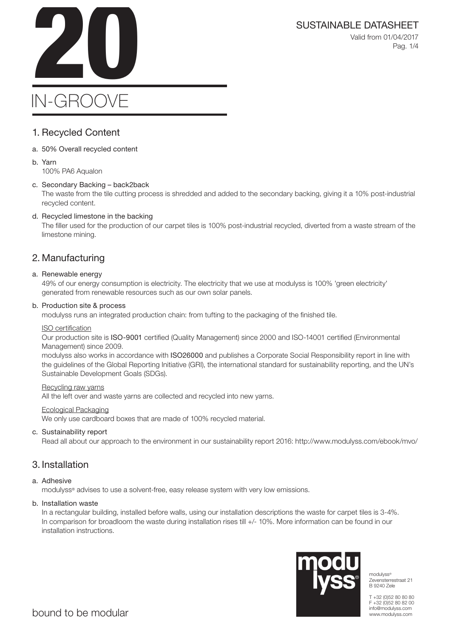SUSTAINABLE DATASHEET<br>Valid from 01/04/2017<br>Pag. 1/4 Valid from 01/04/2017 Pag. 1/4

# IN-GROOVE

### 1. Recycled Content

a. 50% Overall recycled content

#### b. Yarn 100% PA6 Aqualon

### c. Secondary Backing – back2back

The waste from the tile cutting process is shredded and added to the secondary backing, giving it a 10% post-industrial recycled content.

### d. Recycled limestone in the backing

The filler used for the production of our carpet tiles is 100% post-industrial recycled, diverted from a waste stream of the limestone mining.

### 2. Manufacturing

### a. Renewable energy

49% of our energy consumption is electricity. The electricity that we use at modulyss is 100% 'green electricity' generated from renewable resources such as our own solar panels.

### b. Production site & process

modulyss runs an integrated production chain: from tufting to the packaging of the finished tile.

### ISO certification

Our production site is ISO-9001 certified (Quality Management) since 2000 and ISO-14001 certified (Environmental Management) since 2009.

modulyss also works in accordance with ISO26000 and publishes a Corporate Social Responsibility report in line with the guidelines of the Global Reporting Initiative (GRI), the international standard for sustainability reporting, and the UN's Sustainable Development Goals (SDGs).

### Recycling raw yarns

All the left over and waste yarns are collected and recycled into new yarns.

### Ecological Packaging

We only use cardboard boxes that are made of 100% recycled material.

### c. Sustainability report

Read all about our approach to the environment in our sustainability report 2016: http://www.modulyss.com/ebook/mvo/

### 3. Installation

### a. Adhesive

modulyss® advises to use a solvent-free, easy release system with very low emissions.

### b. Installation waste

In a rectangular building, installed before walls, using our installation descriptions the waste for carpet tiles is 3-4%. In comparison for broadloom the waste during installation rises till +/- 10%. More information can be found in our installation instructions.



modulyss® Zevensterrestraat 21 B 9240 Zele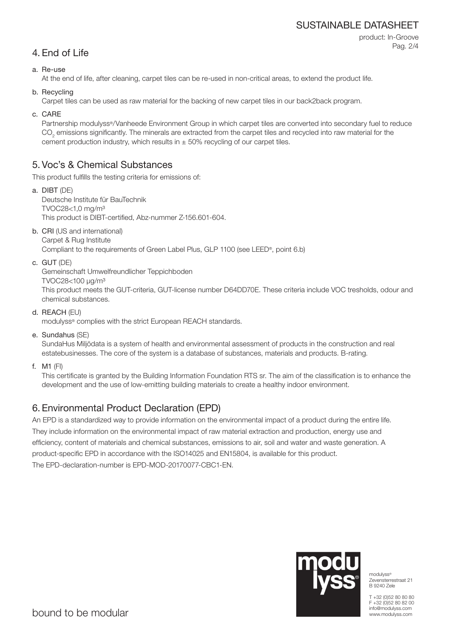### SUSTAINABLE DATASHEET

```
product: In-Groove
Pag. 2/4
```
## 4. End of Life

### a. Re-use

At the end of life, after cleaning, carpet tiles can be re-used in non-critical areas, to extend the product life.

b. Recycling

Carpet tiles can be used as raw material for the backing of new carpet tiles in our back2back program.

c. CARE

Partnership modulyss®/Vanheede Environment Group in which carpet tiles are converted into secondary fuel to reduce  $\mathrm{CO}_2$  emissions significantly. The minerals are extracted from the carpet tiles and recycled into raw material for the cement production industry, which results in  $\pm$  50% recycling of our carpet tiles.

### 5. Voc's & Chemical Substances

This product fulfills the testing criteria for emissions of:

- a. DIBT (DE) Deutsche Institute für BauTechnik TVOC28<1,0 mg/m³ This product is DIBT-certified, Abz-nummer Z-156.601-604.
- b. CRI (US and international) Carpet & Rug Institute

Compliant to the requirements of Green Label Plus, GLP 1100 (see LEED®, point 6.b)

c. GUT (DE)

Gemeinschaft Umwelfreundlicher Teppichboden

TVOC28<100 μg/m³

This product meets the GUT-criteria, GUT-license number D64DD70E. These criteria include VOC tresholds, odour and chemical substances.

d. REACH (EU)

modulyss® complies with the strict European REACH standards.

e. Sundahus (SE)

SundaHus Miljödata is a system of health and environmental assessment of products in the construction and real estatebusinesses. The core of the system is a database of substances, materials and products. B-rating.

f. M1 (FI)

This certificate is granted by the Building Information Foundation RTS sr. The aim of the classification is to enhance the development and the use of low-emitting building materials to create a healthy indoor environment.

## 6. Environmental Product Declaration (EPD)

An EPD is a standardized way to provide information on the environmental impact of a product during the entire life. They include information on the environmental impact of raw material extraction and production, energy use and efficiency, content of materials and chemical substances, emissions to air, soil and water and waste generation. A product-specific EPD in accordance with the ISO14025 and EN15804, is available for this product. The EPD-declaration-number is EPD-MOD-20170077-CBC1-EN.



modulyss® Zevensterrestraat 21 B 9240 Zele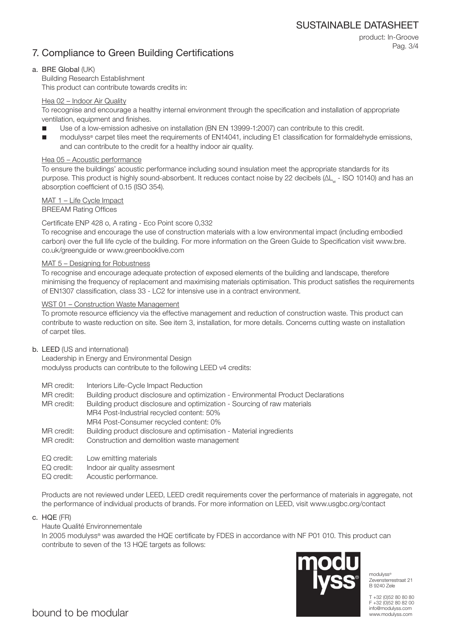### 7. Compliance to Green Building Certifications

product: In-Groove Pag. 3/4

### a. BRE Global (UK)

Building Research Establishment This product can contribute towards credits in:

### Hea 02 – Indoor Air Quality

To recognise and encourage a healthy internal environment through the specification and installation of appropriate ventilation, equipment and finishes.

- Use of a low-emission adhesive on installation (BN EN 13999-1:2007) can contribute to this credit.
- modulyss® carpet tiles meet the requirements of EN14041, including E1 classification for formaldehyde emissions, and can contribute to the credit for a healthy indoor air quality.

### Hea 05 – Acoustic performance

To ensure the buildings' acoustic performance including sound insulation meet the appropriate standards for its purpose. This product is highly sound-absorbent. It reduces contact noise by 22 decibels (ΔL<sub>w</sub> - ISO 10140) and has an absorption coefficient of 0.15 (ISO 354).

### MAT 1 – Life Cycle Impact

BREEAM Rating Offices

### Certificate ENP 428 o, A rating - Eco Point score 0,332

To recognise and encourage the use of construction materials with a low environmental impact (including embodied carbon) over the full life cycle of the building. For more information on the Green Guide to Specification visit www.bre. co.uk/greenguide or www.greenbooklive.com

### MAT 5 – Designing for Robustness

To recognise and encourage adequate protection of exposed elements of the building and landscape, therefore minimising the frequency of replacement and maximising materials optimisation. This product satisfies the requirements of EN1307 classification, class 33 - LC2 for intensive use in a contract environment.

### WST 01 – Construction Waste Management

To promote resource efficiency via the effective management and reduction of construction waste. This product can contribute to waste reduction on site. See item 3, installation, for more details. Concerns cutting waste on installation of carpet tiles.

### b. LEED (US and international)

Leadership in Energy and Environmental Design modulyss products can contribute to the following LEED v4 credits:

- MR credit: Interiors Life-Cycle Impact Reduction
- MR credit: Building product disclosure and optimization Environmental Product Declarations
- MR credit: Building product disclosure and optimization Sourcing of raw materials MR4 Post-Industrial recycled content: 50% MR4 Post-Consumer recycled content: 0%
- MR credit: Building product disclosure and optimisation Material ingredients
- MR credit: Construction and demolition waste management
- EQ credit: Low emitting materials
- EQ credit: Indoor air quality assesment
- EQ credit: Acoustic performance.

Products are not reviewed under LEED, LEED credit requirements cover the performance of materials in aggregate, not the performance of individual products of brands. For more information on LEED, visit www.usgbc.org/contact

c. HQE (FR)

Haute Qualité Environnementale

In 2005 modulyss® was awarded the HQE certificate by FDES in accordance with NF P01 010. This product can contribute to seven of the 13 HQE targets as follows:



modulyss® Zevensterrestraat 21 B 9240 Zele